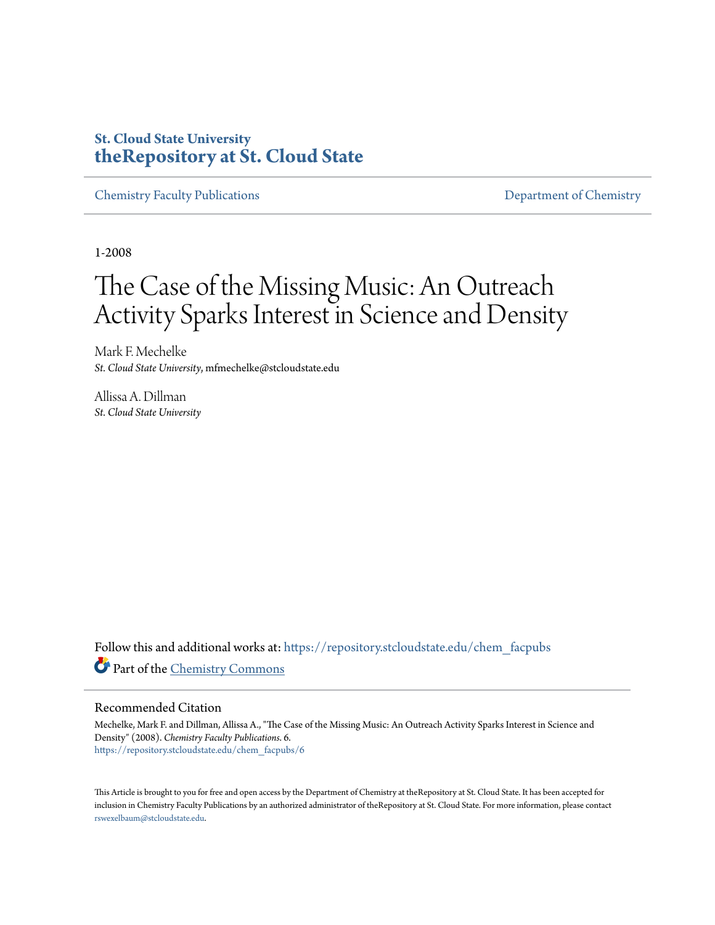# **St. Cloud State University [theRepository at St. Cloud State](https://repository.stcloudstate.edu?utm_source=repository.stcloudstate.edu%2Fchem_facpubs%2F6&utm_medium=PDF&utm_campaign=PDFCoverPages)**

[Chemistry Faculty Publications](https://repository.stcloudstate.edu/chem_facpubs?utm_source=repository.stcloudstate.edu%2Fchem_facpubs%2F6&utm_medium=PDF&utm_campaign=PDFCoverPages) **[Department of Chemistry](https://repository.stcloudstate.edu/chem?utm_source=repository.stcloudstate.edu%2Fchem_facpubs%2F6&utm_medium=PDF&utm_campaign=PDFCoverPages)** 

1-2008

# The Case of the Missing Music: An Outreach Activity Sparks Interest in Science and Density

Mark F. Mechelke *St. Cloud State University*, mfmechelke@stcloudstate.edu

Allissa A. Dillman *St. Cloud State University*

Follow this and additional works at: [https://repository.stcloudstate.edu/chem\\_facpubs](https://repository.stcloudstate.edu/chem_facpubs?utm_source=repository.stcloudstate.edu%2Fchem_facpubs%2F6&utm_medium=PDF&utm_campaign=PDFCoverPages) Part of the [Chemistry Commons](http://network.bepress.com/hgg/discipline/131?utm_source=repository.stcloudstate.edu%2Fchem_facpubs%2F6&utm_medium=PDF&utm_campaign=PDFCoverPages)

## Recommended Citation

Mechelke, Mark F. and Dillman, Allissa A., "The Case of the Missing Music: An Outreach Activity Sparks Interest in Science and Density" (2008). *Chemistry Faculty Publications*. 6. [https://repository.stcloudstate.edu/chem\\_facpubs/6](https://repository.stcloudstate.edu/chem_facpubs/6?utm_source=repository.stcloudstate.edu%2Fchem_facpubs%2F6&utm_medium=PDF&utm_campaign=PDFCoverPages)

This Article is brought to you for free and open access by the Department of Chemistry at theRepository at St. Cloud State. It has been accepted for inclusion in Chemistry Faculty Publications by an authorized administrator of theRepository at St. Cloud State. For more information, please contact [rswexelbaum@stcloudstate.edu](mailto:rswexelbaum@stcloudstate.edu).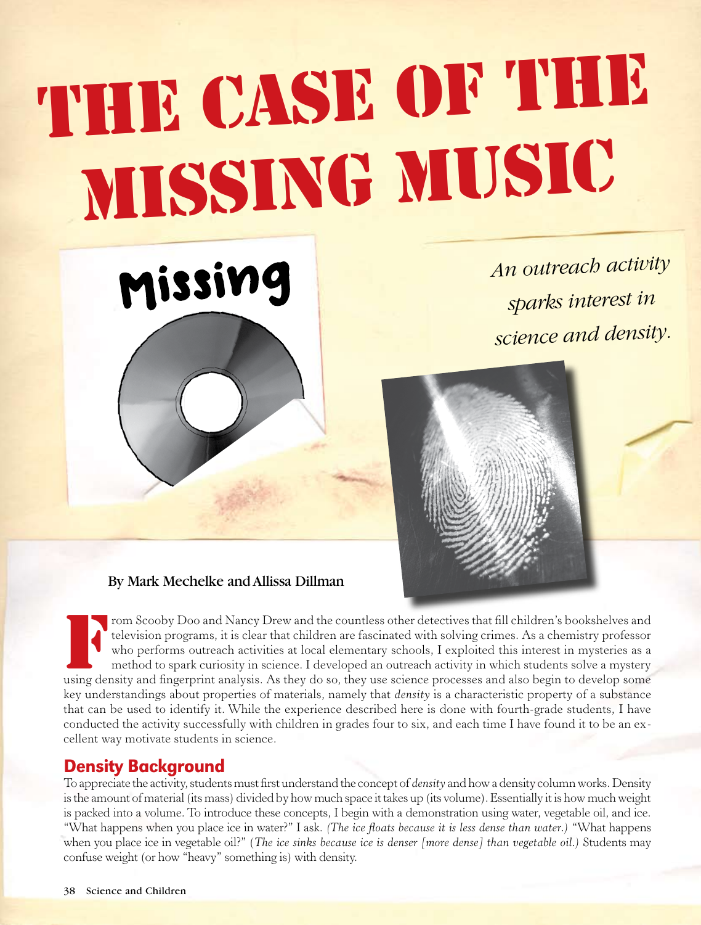# THE CASE OF THE Missing Music

*An outreach activity* 

*sparks interest in* 

*science and density.*



Missing

From Scooby Doo and Nancy Drew and the countless other detectives that fill children's bookshelves and television programs, it is clear that children are fascinated with solving crimes. As a chemistry professor who perform television programs, it is clear that children are fascinated with solving crimes. As a chemistry professor who performs outreach activities at local elementary schools, I exploited this interest in mysteries as a method to spark curiosity in science. I developed an outreach activity in which students solve a mystery using density and fingerprint analysis. As they do so, they use science processes and also begin to develop some key understandings about properties of materials, namely that *density* is a characteristic property of a substance that can be used to identify it. While the experience described here is done with fourth-grade students, I have conducted the activity successfully with children in grades four to six, and each time I have found it to be an excellent way motivate students in science.

## Density Background

To appreciate the activity, students must first understand the concept of *density* and how a density column works. Density is the amount of material (its mass) divided by how much space it takes up (its volume). Essentially it is how much weight is packed into a volume. To introduce these concepts, I begin with a demonstration using water, vegetable oil, and ice. "What happens when you place ice in water?" I ask. *(The ice floats because it is less dense than water.)* "What happens when you place ice in vegetable oil?" (*The ice sinks because ice is denser [more dense] than vegetable oil.)* Students may confuse weight (or how "heavy" something is) with density.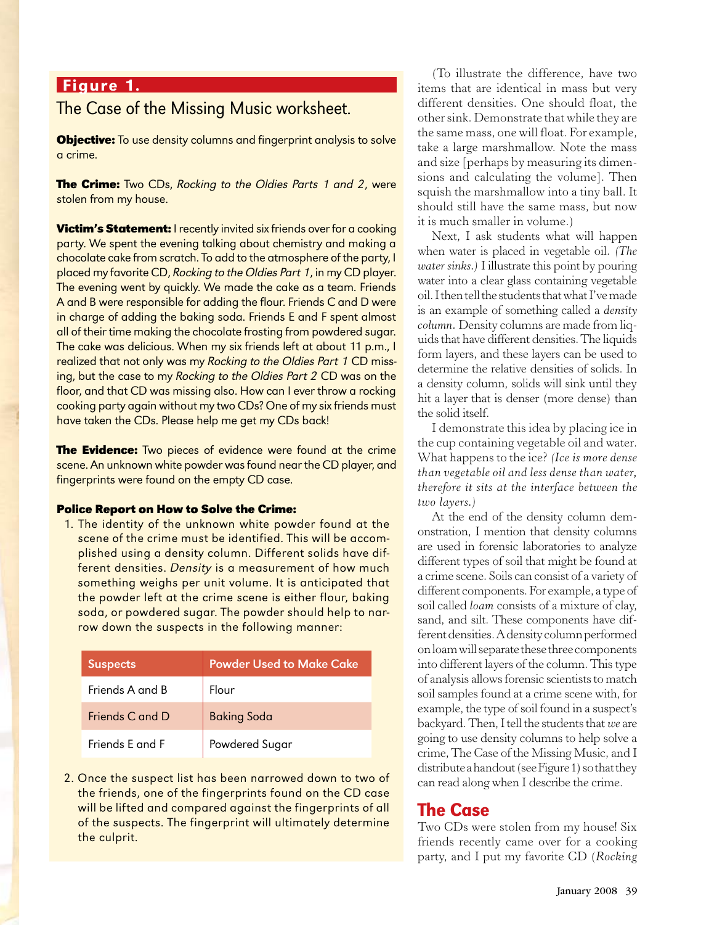## Figure 1.

# The Case of the Missing Music worksheet.

**Objective:** To use density columns and fingerprint analysis to solve a crime.

**The Crime:** Two CDs, Rocking to the Oldies Parts 1 and 2, were stolen from my house.

**Victim's Statement:** I recently invited six friends over for a cooking party. We spent the evening talking about chemistry and making a chocolate cake from scratch. To add to the atmosphere of the party, I placed my favorite CD, Rocking to the Oldies Part 1, in my CD player. The evening went by quickly. We made the cake as a team. Friends A and B were responsible for adding the flour. Friends C and D were in charge of adding the baking soda. Friends E and F spent almost all of their time making the chocolate frosting from powdered sugar. The cake was delicious. When my six friends left at about 11 p.m., I realized that not only was my Rocking to the Oldies Part 1 CD missing, but the case to my Rocking to the Oldies Part 2 CD was on the floor, and that CD was missing also. How can I ever throw a rocking cooking party again without my two CDs? One of my six friends must have taken the CDs. Please help me get my CDs back!

**The Evidence:** Two pieces of evidence were found at the crime scene. An unknown white powder was found near the CD player, and fingerprints were found on the empty CD case.

### **Police Report on How to Solve the Crime:**

1. The identity of the unknown white powder found at the scene of the crime must be identified. This will be accomplished using a density column. Different solids have different densities. Density is a measurement of how much something weighs per unit volume. It is anticipated that the powder left at the crime scene is either flour, baking soda, or powdered sugar. The powder should help to narrow down the suspects in the following manner:

| <b>Suspects</b> | <b>Powder Used to Make Cake</b> |
|-----------------|---------------------------------|
| Friends A and B | Flour                           |
| Friends C and D | <b>Baking Soda</b>              |
| Friends F and F | Powdered Sugar                  |

2. Once the suspect list has been narrowed down to two of the friends, one of the fingerprints found on the CD case will be lifted and compared against the fingerprints of all of the suspects. The fingerprint will ultimately determine the culprit.

(To illustrate the difference, have two items that are identical in mass but very different densities. One should float, the other sink. Demonstrate that while they are the same mass, one will float. For example, take a large marshmallow. Note the mass and size [perhaps by measuring its dimensions and calculating the volume]. Then squish the marshmallow into a tiny ball. It should still have the same mass, but now it is much smaller in volume.)

Next, I ask students what will happen when water is placed in vegetable oil. *(The water sinks.)* I illustrate this point by pouring water into a clear glass containing vegetable oil. I then tell the students that what I've made is an example of something called a *density column.* Density columns are made from liquids that have different densities. The liquids form layers, and these layers can be used to determine the relative densities of solids. In a density column, solids will sink until they hit a layer that is denser (more dense) than the solid itself.

I demonstrate this idea by placing ice in the cup containing vegetable oil and water. What happens to the ice? *(Ice is more dense than vegetable oil and less dense than water, therefore it sits at the interface between the two layers.)*

At the end of the density column demonstration, I mention that density columns are used in forensic laboratories to analyze different types of soil that might be found at a crime scene. Soils can consist of a variety of different components. For example, a type of soil called *loam* consists of a mixture of clay, sand, and silt. These components have different densities. A density column performed on loam will separate these three components into different layers of the column. This type of analysis allows forensic scientists to match soil samples found at a crime scene with, for example, the type of soil found in a suspect's backyard. Then,I tell the students that *we* are going to use density columns to help solve a crime, The Case of the Missing Music, and I distribute a handout (see Figure 1) so that they can read along when I describe the crime.

## The Case

Two CDs were stolen from my house! Six friends recently came over for a cooking party, and I put my favorite CD (*Rocking*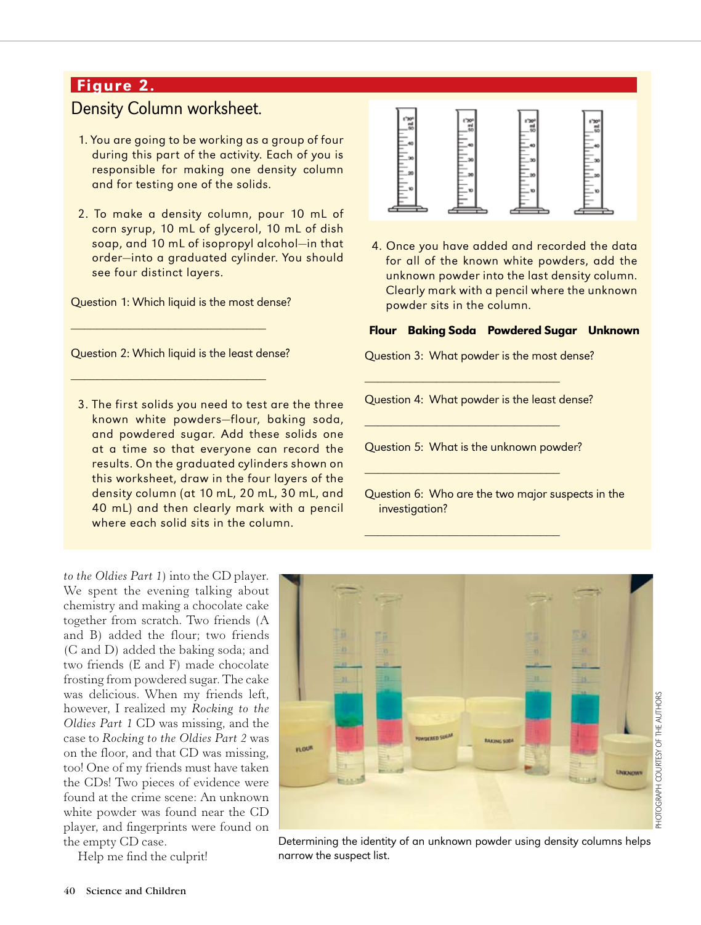# Figure 2.

# Density Column worksheet.

- 1. You are going to be working as a group of four during this part of the activity. Each of you is responsible for making one density column and for testing one of the solids.
- 2. To make a density column, pour 10 mL of corn syrup, 10 mL of glycerol, 10 mL of dish soap, and 10 mL of isopropyl alcohol—in that order—into a graduated cylinder. You should see four distinct layers.

Question 1: Which liquid is the most dense?

\_\_\_\_\_\_\_\_\_\_\_\_\_\_\_\_\_\_\_\_\_\_\_\_\_\_\_\_\_\_

\_\_\_\_\_\_\_\_\_\_\_\_\_\_\_\_\_\_\_\_\_\_\_\_\_\_\_\_\_\_

Question 2: Which liquid is the least dense?

3. The first solids you need to test are the three known white powders—flour, baking soda, and powdered sugar. Add these solids one at a time so that everyone can record the results. On the graduated cylinders shown on this worksheet, draw in the four layers of the density column (at 10 mL, 20 mL, 30 mL, and 40 mL) and then clearly mark with a pencil where each solid sits in the column.

*to the Oldies Part 1*) into the CD player. We spent the evening talking about chemistry and making a chocolate cake together from scratch. Two friends (A and B) added the flour; two friends (C and D) added the baking soda; and two friends (E and F) made chocolate frosting from powdered sugar. The cake was delicious. When my friends left, however, I realized my *Rocking to the Oldies Part 1* CD was missing, and the case to *Rocking to the Oldies Part 2* was on the floor, and that CD was missing, too! One of my friends must have taken the CDs! Two pieces of evidence were found at the crime scene: An unknown white powder was found near the CD player, and fingerprints were found on the empty CD case.

Help me find the culprit!



4. Once you have added and recorded the data for all of the known white powders, add the unknown powder into the last density column. Clearly mark with a pencil where the unknown powder sits in the column.

### Flour Baking Soda Powdered Sugar Unknown

Question 3: What powder is the most dense?

\_\_\_\_\_\_\_\_\_\_\_\_\_\_\_\_\_\_\_\_\_\_\_\_\_\_\_\_\_\_

\_\_\_\_\_\_\_\_\_\_\_\_\_\_\_\_\_\_\_\_\_\_\_\_\_\_\_\_\_\_

\_\_\_\_\_\_\_\_\_\_\_\_\_\_\_\_\_\_\_\_\_\_\_\_\_\_\_\_\_\_

\_\_\_\_\_\_\_\_\_\_\_\_\_\_\_\_\_\_\_\_\_\_\_\_\_\_\_\_\_\_

Question 4: What powder is the least dense?

Question 5: What is the unknown powder?

Question 6: Who are the two major suspects in the investigation?



Determining the identity of an unknown powder using density columns helps narrow the suspect list.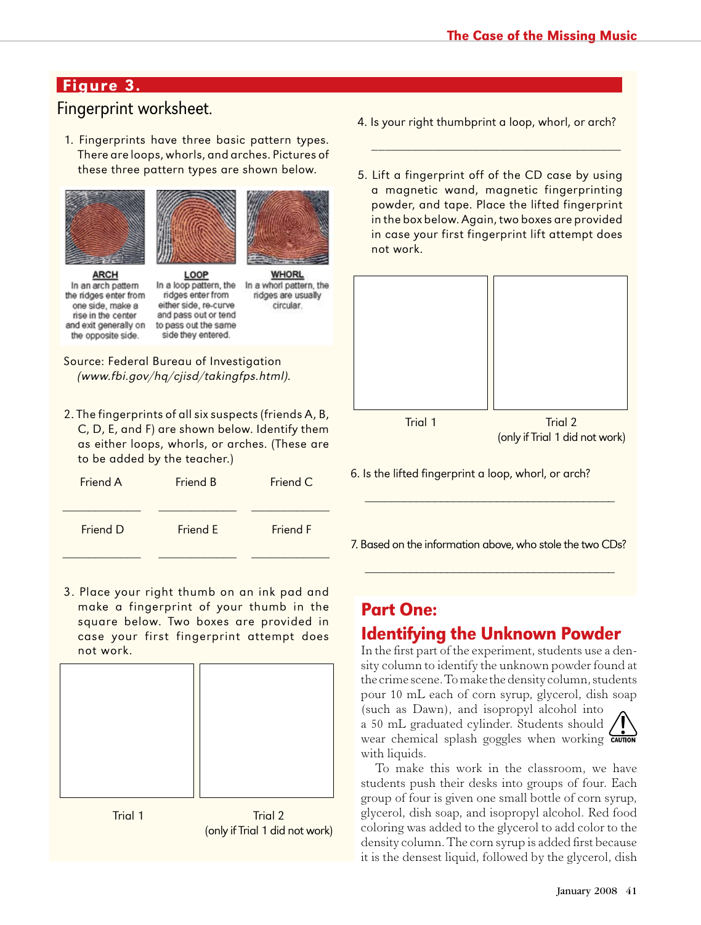# Figure 3.

# Fingerprint worksheet.

1. Fingerprints have three basic pattern types. There are loops, whorls, and arches. Pictures of these three pattern types are shown below.





**ARCH** In an arch pattern the ridges enter from one side, make a rise in the center and exit generally on the opposite side.

LOOP In a loop pattern, the ridges enter from either side, re-curve and pass out or tend to pass out the same side they entered.

In a whorl pattern, the ridges are usually circular.

**WHORL** 

Source: Federal Bureau of Investigation (www.fbi.gov/hq/cjisd/takingfps.html).

2. The fingerprints of all six suspects (friends A, B, C, D, E, and F) are shown below. Identify them as either loops, whorls, or arches. (These are to be added by the teacher.)

| Friend A | Friend B | Friend C |
|----------|----------|----------|
| Friend D | Friend E | Friend F |

3. Place your right thumb on an ink pad and make a fingerprint of your thumb in the square below. Two boxes are provided in case your first fingerprint attempt does not work.



4. Is your right thumbprint a loop, whorl, or arch?

\_\_\_\_\_\_\_\_\_\_\_\_\_\_\_\_\_\_\_\_\_\_\_\_\_\_\_\_\_\_\_\_\_\_\_\_\_

5. Lift a fingerprint off of the CD case by using a magnetic wand, magnetic fingerprinting powder, and tape. Place the lifted fingerprint in the box below. Again, two boxes are provided in case your first fingerprint lift attempt does not work.



6. Is the lifted fingerprint a loop, whorl, or arch?

7. Based on the information above, who stole the two CDs?

\_\_\_\_\_\_\_\_\_\_\_\_\_\_\_\_\_\_\_\_\_\_\_\_\_\_\_\_\_\_\_\_\_\_\_\_\_\_\_\_

\_\_\_\_\_\_\_\_\_\_\_\_\_\_\_\_\_\_\_\_\_\_\_\_\_\_\_\_\_\_\_\_\_\_\_\_\_\_\_\_

# Part One:

# Identifying the Unknown Powder

In the first part of the experiment, students use a density column to identify the unknown powder found at the crime scene. To make the density column, students pour 10 mL each of corn syrup, glycerol, dish soap (such as Dawn), and isopropyl alcohol into a 50 mL graduated cylinder. Students should wear chemical splash goggles when working **CAUTION** with liquids.

To make this work in the classroom, we have students push their desks into groups of four. Each group of four is given one small bottle of corn syrup, glycerol, dish soap, and isopropyl alcohol. Red food coloring was added to the glycerol to add color to the density column. The corn syrup is added first because it is the densest liquid, followed by the glycerol, dish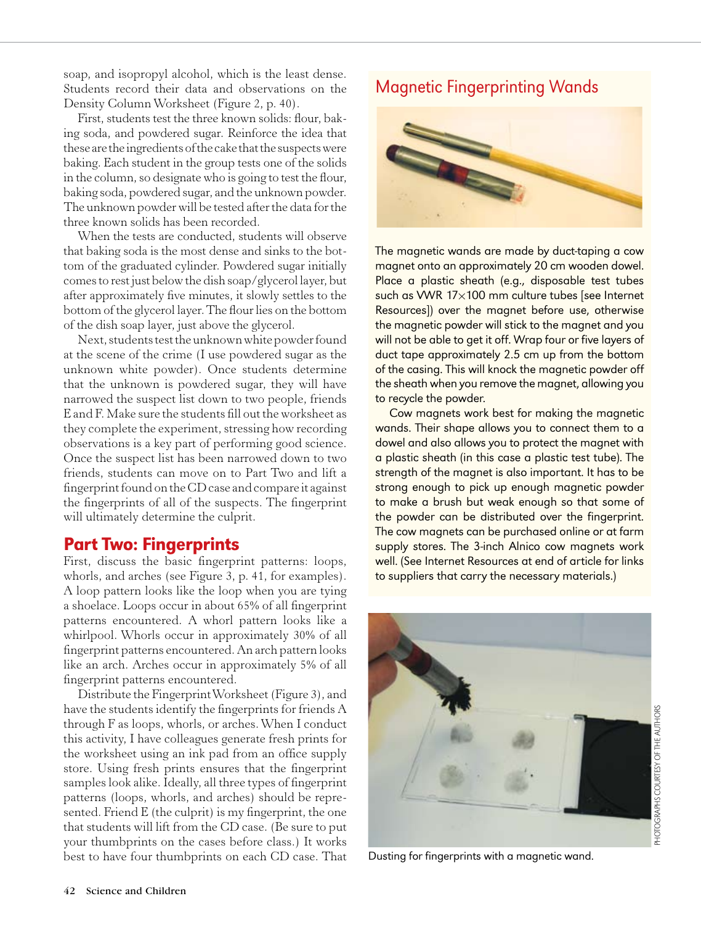soap, and isopropyl alcohol, which is the least dense. Students record their data and observations on the Density Column Worksheet (Figure 2, p. 40).

First, students test the three known solids: flour, baking soda, and powdered sugar. Reinforce the idea that these are the ingredients of the cake that the suspects were baking. Each student in the group tests one of the solids in the column, so designate who is going to test the flour, baking soda, powdered sugar, and the unknown powder. The unknown powder will be tested after the data for the three known solids has been recorded.

When the tests are conducted, students will observe that baking soda is the most dense and sinks to the bottom of the graduated cylinder. Powdered sugar initially comes to rest just below the dish soap/glycerol layer, but after approximately five minutes, it slowly settles to the bottom of the glycerol layer. The flour lies on the bottom of the dish soap layer, just above the glycerol.

Next, students test the unknown white powder found at the scene of the crime (I use powdered sugar as the unknown white powder). Once students determine that the unknown is powdered sugar, they will have narrowed the suspect list down to two people, friends E and F. Make sure the students fill out the worksheet as they complete the experiment, stressing how recording observations is a key part of performing good science. Once the suspect list has been narrowed down to two friends, students can move on to Part Two and lift a fingerprint found on the CD case and compare it against the fingerprints of all of the suspects. The fingerprint will ultimately determine the culprit.

# Part Two: Fingerprints

First, discuss the basic fingerprint patterns: loops, whorls, and arches (see Figure 3, p. 41, for examples). A loop pattern looks like the loop when you are tying a shoelace. Loops occur in about 65% of all fingerprint patterns encountered. A whorl pattern looks like a whirlpool. Whorls occur in approximately 30% of all fingerprint patterns encountered. An arch pattern looks like an arch. Arches occur in approximately 5% of all fingerprint patterns encountered.

Distribute the Fingerprint Worksheet (Figure 3), and have the students identify the fingerprints for friends A through F as loops, whorls, or arches. When I conduct this activity, I have colleagues generate fresh prints for the worksheet using an ink pad from an office supply store. Using fresh prints ensures that the fingerprint samples look alike. Ideally, all three types of fingerprint patterns (loops, whorls, and arches) should be represented. Friend E (the culprit) is my fingerprint, the one that students will lift from the CD case. (Be sure to put your thumbprints on the cases before class.) It works best to have four thumbprints on each CD case. That

# Magnetic Fingerprinting Wands



The magnetic wands are made by duct-taping a cow magnet onto an approximately 20 cm wooden dowel. Place a plastic sheath (e.g., disposable test tubes such as VWR 17×100 mm culture tubes [see Internet Resources]) over the magnet before use, otherwise the magnetic powder will stick to the magnet and you will not be able to get it off. Wrap four or five layers of duct tape approximately 2.5 cm up from the bottom of the casing. This will knock the magnetic powder off the sheath when you remove the magnet, allowing you to recycle the powder.

Cow magnets work best for making the magnetic wands. Their shape allows you to connect them to a dowel and also allows you to protect the magnet with a plastic sheath (in this case a plastic test tube). The strength of the magnet is also important. It has to be strong enough to pick up enough magnetic powder to make a brush but weak enough so that some of the powder can be distributed over the fingerprint. The cow magnets can be purchased online or at farm supply stores. The 3-inch Alnico cow magnets work well. (See Internet Resources at end of article for links to suppliers that carry the necessary materials.)



Dusting for fingerprints with a magnetic wand.